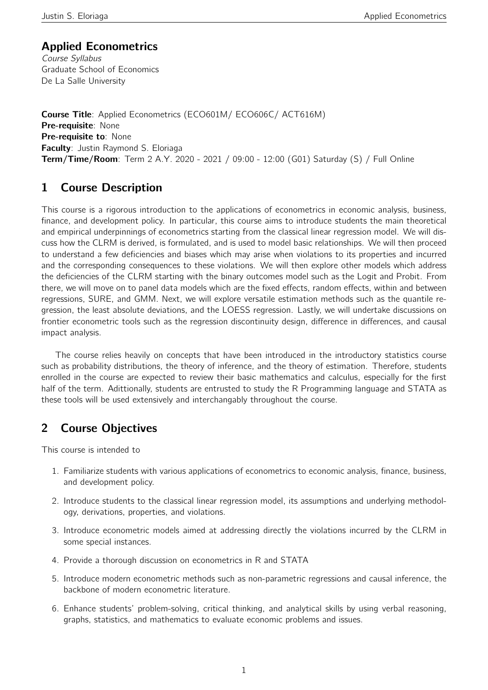### Applied Econometrics

Course Syllabus Graduate School of Economics De La Salle University

Course Title: Applied Econometrics (ECO601M/ ECO606C/ ACT616M) Pre-requisite: None Pre-requisite to: None Faculty: Justin Raymond S. Eloriaga Term/Time/Room: Term 2 A.Y. 2020 - 2021 / 09:00 - 12:00 (G01) Saturday (S) / Full Online

## 1 Course Description

This course is a rigorous introduction to the applications of econometrics in economic analysis, business, finance, and development policy. In particular, this course aims to introduce students the main theoretical and empirical underpinnings of econometrics starting from the classical linear regression model. We will discuss how the CLRM is derived, is formulated, and is used to model basic relationships. We will then proceed to understand a few deficiencies and biases which may arise when violations to its properties and incurred and the corresponding consequences to these violations. We will then explore other models which address the deficiencies of the CLRM starting with the binary outcomes model such as the Logit and Probit. From there, we will move on to panel data models which are the fixed effects, random effects, within and between regressions, SURE, and GMM. Next, we will explore versatile estimation methods such as the quantile regression, the least absolute deviations, and the LOESS regression. Lastly, we will undertake discussions on frontier econometric tools such as the regression discontinuity design, difference in differences, and causal impact analysis.

The course relies heavily on concepts that have been introduced in the introductory statistics course such as probability distributions, the theory of inference, and the theory of estimation. Therefore, students enrolled in the course are expected to review their basic mathematics and calculus, especially for the first half of the term. Adittionally, students are entrusted to study the R Programming language and STATA as these tools will be used extensively and interchangably throughout the course.

# 2 Course Objectives

This course is intended to

- 1. Familiarize students with various applications of econometrics to economic analysis, finance, business, and development policy.
- 2. Introduce students to the classical linear regression model, its assumptions and underlying methodology, derivations, properties, and violations.
- 3. Introduce econometric models aimed at addressing directly the violations incurred by the CLRM in some special instances.
- 4. Provide a thorough discussion on econometrics in R and STATA
- 5. Introduce modern econometric methods such as non-parametric regressions and causal inference, the backbone of modern econometric literature.
- 6. Enhance students' problem-solving, critical thinking, and analytical skills by using verbal reasoning, graphs, statistics, and mathematics to evaluate economic problems and issues.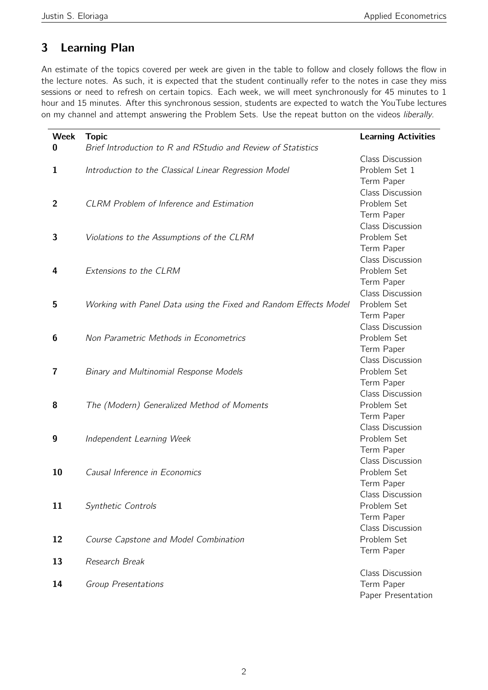# 3 Learning Plan

An estimate of the topics covered per week are given in the table to follow and closely follows the flow in the lecture notes. As such, it is expected that the student continually refer to the notes in case they miss sessions or need to refresh on certain topics. Each week, we will meet synchronously for 45 minutes to 1 hour and 15 minutes. After this synchronous session, students are expected to watch the YouTube lectures on my channel and attempt answering the Problem Sets. Use the repeat button on the videos liberally.

| <b>Week</b>    | <b>Topic</b>                                                     | <b>Learning Activities</b> |
|----------------|------------------------------------------------------------------|----------------------------|
| 0              | Brief Introduction to R and RStudio and Review of Statistics     |                            |
|                |                                                                  | <b>Class Discussion</b>    |
| 1              | Introduction to the Classical Linear Regression Model            | Problem Set 1              |
|                |                                                                  | Term Paper                 |
|                |                                                                  | Class Discussion           |
| $\overline{2}$ | <b>CLRM Problem of Inference and Estimation</b>                  | Problem Set                |
|                |                                                                  | Term Paper                 |
|                |                                                                  | Class Discussion           |
| 3              | Violations to the Assumptions of the CLRM                        | Problem Set                |
|                |                                                                  | Term Paper                 |
|                |                                                                  | <b>Class Discussion</b>    |
| 4              | Extensions to the CLRM                                           | Problem Set                |
|                |                                                                  | Term Paper                 |
|                |                                                                  | <b>Class Discussion</b>    |
| 5              | Working with Panel Data using the Fixed and Random Effects Model | Problem Set                |
|                |                                                                  | Term Paper                 |
|                |                                                                  | <b>Class Discussion</b>    |
| 6              | Non Parametric Methods in Econometrics                           | Problem Set                |
|                |                                                                  | Term Paper                 |
|                |                                                                  | <b>Class Discussion</b>    |
| 7              | <b>Binary and Multinomial Response Models</b>                    | Problem Set                |
|                |                                                                  | Term Paper                 |
|                |                                                                  | <b>Class Discussion</b>    |
| 8              | The (Modern) Generalized Method of Moments                       | Problem Set                |
|                |                                                                  | Term Paper                 |
|                |                                                                  | <b>Class Discussion</b>    |
| 9              | Independent Learning Week                                        | Problem Set                |
|                |                                                                  | Term Paper                 |
|                |                                                                  | <b>Class Discussion</b>    |
| 10             | Causal Inference in Economics                                    | Problem Set                |
|                |                                                                  | Term Paper                 |
|                |                                                                  | Class Discussion           |
| 11             | Synthetic Controls                                               | Problem Set                |
|                |                                                                  | Term Paper                 |
|                |                                                                  | <b>Class Discussion</b>    |
| 12             | Course Capstone and Model Combination                            | Problem Set                |
|                |                                                                  | Term Paper                 |
| 13             | Research Break                                                   |                            |
|                |                                                                  | <b>Class Discussion</b>    |
| 14             | Group Presentations                                              | Term Paper                 |
|                |                                                                  | Paper Presentation         |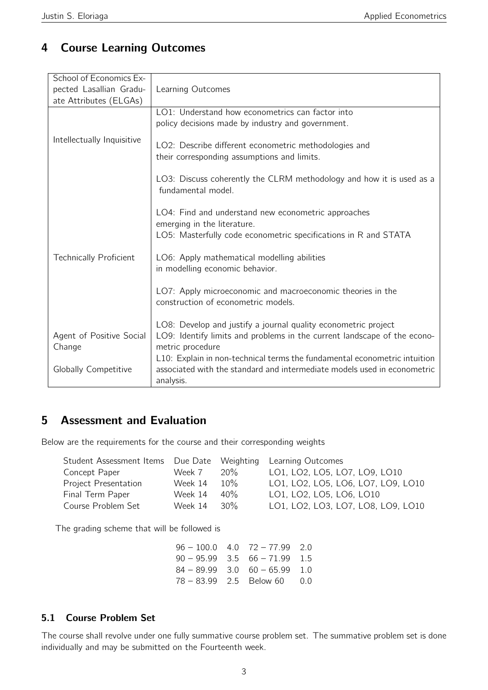# 4 Course Learning Outcomes

| School of Economics Ex-<br>pected Lasallian Gradu-<br>ate Attributes (ELGAs) | Learning Outcomes                                                                                                                                                  |
|------------------------------------------------------------------------------|--------------------------------------------------------------------------------------------------------------------------------------------------------------------|
|                                                                              | LO1: Understand how econometrics can factor into<br>policy decisions made by industry and government.                                                              |
| Intellectually Inquisitive                                                   | LO2: Describe different econometric methodologies and<br>their corresponding assumptions and limits.                                                               |
|                                                                              | LO3: Discuss coherently the CLRM methodology and how it is used as a<br>fundamental model.                                                                         |
|                                                                              | LO4: Find and understand new econometric approaches<br>emerging in the literature.<br>LO5: Masterfully code econometric specifications in R and STATA              |
| <b>Technically Proficient</b>                                                | LO6: Apply mathematical modelling abilities<br>in modelling economic behavior.                                                                                     |
|                                                                              | LO7: Apply microeconomic and macroeconomic theories in the<br>construction of econometric models.                                                                  |
| Agent of Positive Social<br>Change                                           | LO8: Develop and justify a journal quality econometric project<br>LO9: Identify limits and problems in the current landscape of the econo-<br>metric procedure     |
| <b>Globally Competitive</b>                                                  | L10: Explain in non-technical terms the fundamental econometric intuition<br>associated with the standard and intermediate models used in econometric<br>analysis. |

## 5 Assessment and Evaluation

Below are the requirements for the course and their corresponding weights

| Student Assessment Items Due Date Weighting Learning Outcomes |         |        |                                    |
|---------------------------------------------------------------|---------|--------|------------------------------------|
| Concept Paper                                                 | Week 7  | $20\%$ | LO1, LO2, LO5, LO7, LO9, LO10      |
| <b>Project Presentation</b>                                   | Week 14 | $10\%$ | LO1, LO2, LO5, LO6, LO7, LO9, LO10 |
| Final Term Paper                                              | Week 14 | $40\%$ | LO1, LO2, LO5, LO6, LO10           |
| Course Problem Set                                            | Week 14 | $30\%$ | LO1, LO2, LO3, LO7, LO8, LO9, LO10 |

The grading scheme that will be followed is

|  | $96 - 100.0$ 4.0 $72 - 77.99$ 2.0 |  |
|--|-----------------------------------|--|
|  | $90 - 95.99$ 3.5 $66 - 71.99$ 1.5 |  |
|  | $84 - 89.99$ 3.0 $60 - 65.99$ 1.0 |  |
|  | $78 - 83.99$ 2.5 Below 60 0.0     |  |

#### 5.1 Course Problem Set

The course shall revolve under one fully summative course problem set. The summative problem set is done individually and may be submitted on the Fourteenth week.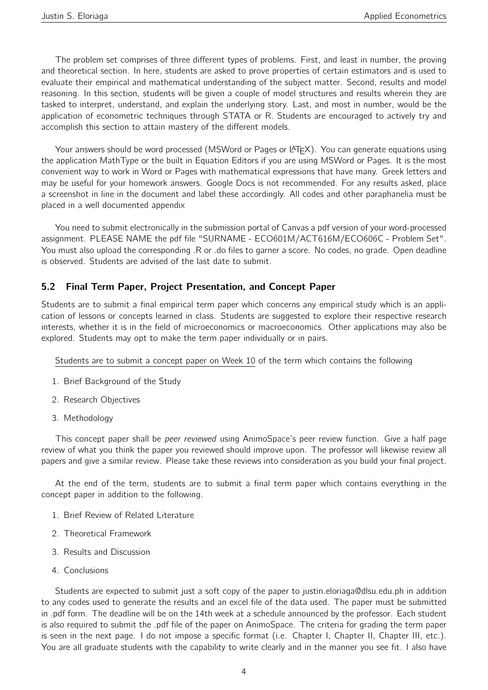The problem set comprises of three different types of problems. First, and least in number, the proving and theoretical section. In here, students are asked to prove properties of certain estimators and is used to evaluate their empirical and mathematical understanding of the subject matter. Second, results and model reasoning. In this section, students will be given a couple of model structures and results wherein they are tasked to interpret, understand, and explain the underlying story. Last, and most in number, would be the application of econometric techniques through STATA or R. Students are encouraged to actively try and accomplish this section to attain mastery of the different models.

Your answers should be word processed (MSWord or Pages or LAT<sub>EX</sub>). You can generate equations using the application MathType or the built in Equation Editors if you are using MSWord or Pages. It is the most convenient way to work in Word or Pages with mathematical expressions that have many. Greek letters and may be useful for your homework answers. Google Docs is not recommended. For any results asked, place a screenshot in line in the document and label these accordingly. All codes and other paraphanelia must be placed in a well documented appendix

You need to submit electronically in the submission portal of Canvas a pdf version of your word-processed assignment. PLEASE NAME the pdf file "SURNAME - ECO601M/ACT616M/ECO606C - Problem Set". You must also upload the corresponding .R or .do files to garner a score. No codes, no grade. Open deadline is observed. Students are advised of the last date to submit.

#### 5.2 Final Term Paper, Project Presentation, and Concept Paper

Students are to submit a final empirical term paper which concerns any empirical study which is an application of lessons or concepts learned in class. Students are suggested to explore their respective research interests, whether it is in the field of microeconomics or macroeconomics. Other applications may also be explored. Students may opt to make the term paper individually or in pairs.

Students are to submit a concept paper on Week 10 of the term which contains the following

- 1. Brief Background of the Study
- 2. Research Objectives
- 3. Methodology

This concept paper shall be *peer reviewed* using AnimoSpace's peer review function. Give a half page review of what you think the paper you reviewed should improve upon. The professor will likewise review all papers and give a similar review. Please take these reviews into consideration as you build your final project.

At the end of the term, students are to submit a final term paper which contains everything in the concept paper in addition to the following.

- 1. Brief Review of Related Literature
- 2. Theoretical Framework
- 3. Results and Discussion
- 4. Conclusions

Students are expected to submit just a soft copy of the paper to justin.eloriaga@dlsu.edu.ph in addition to any codes used to generate the results and an excel file of the data used. The paper must be submitted in .pdf form. The deadline will be on the 14th week at a schedule announced by the professor. Each student is also required to submit the .pdf file of the paper on AnimoSpace. The criteria for grading the term paper is seen in the next page. I do not impose a specific format (i.e. Chapter I, Chapter II, Chapter III, etc.). You are all graduate students with the capability to write clearly and in the manner you see fit. I also have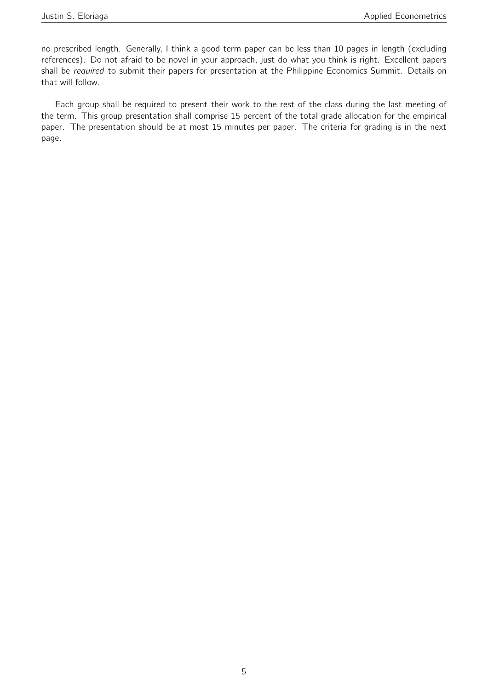no prescribed length. Generally, I think a good term paper can be less than 10 pages in length (excluding references). Do not afraid to be novel in your approach, just do what you think is right. Excellent papers shall be *required* to submit their papers for presentation at the Philippine Economics Summit. Details on that will follow.

Each group shall be required to present their work to the rest of the class during the last meeting of the term. This group presentation shall comprise 15 percent of the total grade allocation for the empirical paper. The presentation should be at most 15 minutes per paper. The criteria for grading is in the next page.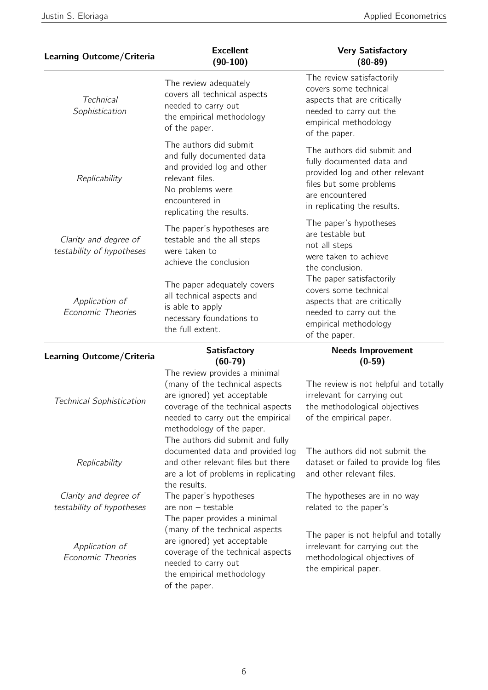| <b>Technical</b><br>Sophistication                 | The review adequately<br>covers all technical aspects<br>needed to carry out<br>the empirical methodology<br>of the paper.                                                                            | covers some technical<br>aspects that are critically<br>needed to carry out the<br>empirical methodology<br>of the paper.                                               |
|----------------------------------------------------|-------------------------------------------------------------------------------------------------------------------------------------------------------------------------------------------------------|-------------------------------------------------------------------------------------------------------------------------------------------------------------------------|
| Replicability                                      | The authors did submit<br>and fully documented data<br>and provided log and other<br>relevant files.<br>No problems were<br>encountered in<br>replicating the results.                                | The authors did submit and<br>fully documented data and<br>provided log and other relevant<br>files but some problems<br>are encountered<br>in replicating the results. |
| Clarity and degree of<br>testability of hypotheses | The paper's hypotheses are<br>testable and the all steps<br>were taken to<br>achieve the conclusion                                                                                                   | The paper's hypotheses<br>are testable but<br>not all steps<br>were taken to achieve<br>the conclusion.                                                                 |
| Application of<br><b>Economic Theories</b>         | The paper adequately covers<br>all technical aspects and<br>is able to apply<br>necessary foundations to<br>the full extent.                                                                          | The paper satisfactorily<br>covers some technical<br>aspects that are critically<br>needed to carry out the<br>empirical methodology<br>of the paper.                   |
| Learning Outcome/Criteria                          | <b>Satisfactory</b><br>$(60-79)$                                                                                                                                                                      | <b>Needs Improvement</b><br>$(0-59)$                                                                                                                                    |
|                                                    |                                                                                                                                                                                                       |                                                                                                                                                                         |
| <b>Technical Sophistication</b>                    | The review provides a minimal<br>(many of the technical aspects<br>are ignored) yet acceptable<br>coverage of the technical aspects<br>needed to carry out the empirical<br>methodology of the paper. | The review is not helpful and totally<br>irrelevant for carrying out<br>the methodological objectives<br>of the empirical paper.                                        |
| Replicability                                      | The authors did submit and fully<br>documented data and provided log  The authors did not submit the<br>and other relevant files but there<br>are a lot of problems in replicating                    | dataset or failed to provide log files<br>and other relevant files.                                                                                                     |
| Clarity and degree of<br>testability of hypotheses | the results.<br>The paper's hypotheses<br>are non $-$ testable<br>The paper provides a minimal                                                                                                        | The hypotheses are in no way<br>related to the paper's                                                                                                                  |

(90-100)

The review adequately covers all technical aspects

Excellent<br>Con 100) Learning Outcome/Criteria

Very Satisfactory (80-89)

The review satisfactorily